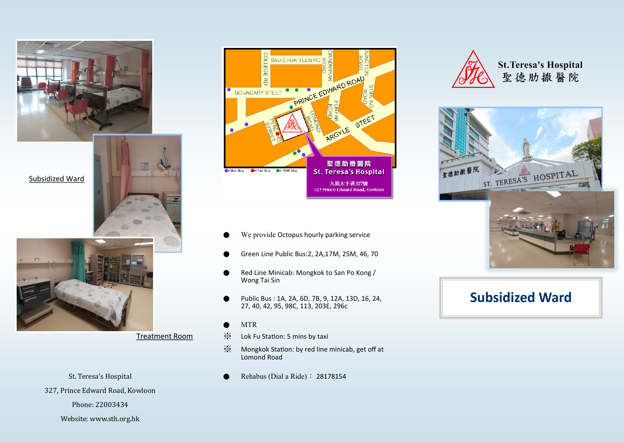



Treatment Room

327, Prince Edward Road, Kowloon

Phone: 22003434

Website: www.sth.org.hk



- We provide Octopus hourly parking service
- Green Line Public Bus:2, 2A,17M, 25M, 46, 70
- Red Line Minicab: Mongkok to San Po Kong / Wong Tai Sin
- Public Bus : 1A, 2A, 6D, 7B, 9, 12A, 13D, 16, 24, 27, 40, 42, 95, 98C, 113, 203E, 296c
- **MTR**
- ※ Lok Fu Station: 5 mins by taxi
- ※ Mongkok Station: by red line minicab, get off at Lomond Road
- St. Teresa's Hospital Rehabus (Dial a Ride): 28178154



**St. Teresa's Hospital** 聖德肋撒醫院



# **Subsidized Ward**